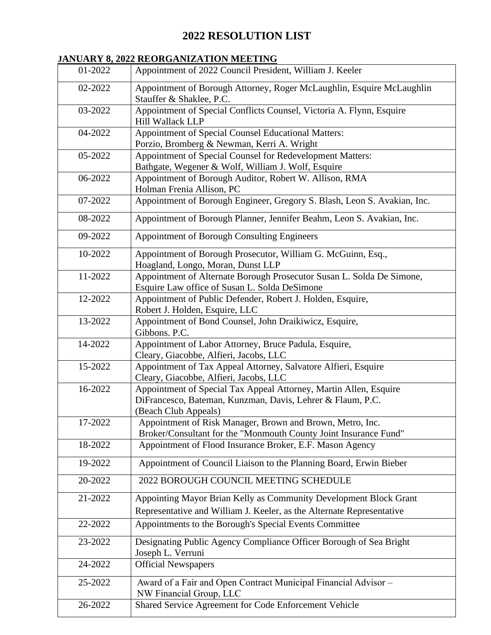# **2022 RESOLUTION LIST**

## **JANUARY 8, 2022 REORGANIZATION MEETING**

| 01-2022 | Appointment of 2022 Council President, William J. Keeler                                                                                                |
|---------|---------------------------------------------------------------------------------------------------------------------------------------------------------|
| 02-2022 | Appointment of Borough Attorney, Roger McLaughlin, Esquire McLaughlin<br>Stauffer & Shaklee, P.C.                                                       |
| 03-2022 | Appointment of Special Conflicts Counsel, Victoria A. Flynn, Esquire<br><b>Hill Wallack LLP</b>                                                         |
| 04-2022 | Appointment of Special Counsel Educational Matters:<br>Porzio, Bromberg & Newman, Kerri A. Wright                                                       |
| 05-2022 | Appointment of Special Counsel for Redevelopment Matters:<br>Bathgate, Wegener & Wolf, William J. Wolf, Esquire                                         |
| 06-2022 | Appointment of Borough Auditor, Robert W. Allison, RMA<br>Holman Frenia Allison, PC                                                                     |
| 07-2022 | Appointment of Borough Engineer, Gregory S. Blash, Leon S. Avakian, Inc.                                                                                |
| 08-2022 | Appointment of Borough Planner, Jennifer Beahm, Leon S. Avakian, Inc.                                                                                   |
| 09-2022 | <b>Appointment of Borough Consulting Engineers</b>                                                                                                      |
| 10-2022 | Appointment of Borough Prosecutor, William G. McGuinn, Esq.,<br>Hoagland, Longo, Moran, Dunst LLP                                                       |
| 11-2022 | Appointment of Alternate Borough Prosecutor Susan L. Solda De Simone,<br>Esquire Law office of Susan L. Solda DeSimone                                  |
| 12-2022 | Appointment of Public Defender, Robert J. Holden, Esquire,<br>Robert J. Holden, Esquire, LLC                                                            |
| 13-2022 | Appointment of Bond Counsel, John Draikiwicz, Esquire,<br>Gibbons. P.C.                                                                                 |
| 14-2022 | Appointment of Labor Attorney, Bruce Padula, Esquire,<br>Cleary, Giacobbe, Alfieri, Jacobs, LLC                                                         |
| 15-2022 | Appointment of Tax Appeal Attorney, Salvatore Alfieri, Esquire<br>Cleary, Giacobbe, Alfieri, Jacobs, LLC                                                |
| 16-2022 | Appointment of Special Tax Appeal Attorney, Martin Allen, Esquire<br>DiFrancesco, Bateman, Kunzman, Davis, Lehrer & Flaum, P.C.<br>(Beach Club Appeals) |
| 17-2022 | Appointment of Risk Manager, Brown and Brown, Metro, Inc.<br>Broker/Consultant for the "Monmouth County Joint Insurance Fund"                           |
| 18-2022 | Appointment of Flood Insurance Broker, E.F. Mason Agency                                                                                                |
| 19-2022 | Appointment of Council Liaison to the Planning Board, Erwin Bieber                                                                                      |
| 20-2022 | 2022 BOROUGH COUNCIL MEETING SCHEDULE                                                                                                                   |
| 21-2022 | Appointing Mayor Brian Kelly as Community Development Block Grant<br>Representative and William J. Keeler, as the Alternate Representative              |
| 22-2022 | Appointments to the Borough's Special Events Committee                                                                                                  |
| 23-2022 | Designating Public Agency Compliance Officer Borough of Sea Bright<br>Joseph L. Verruni                                                                 |
| 24-2022 | <b>Official Newspapers</b>                                                                                                                              |
| 25-2022 | Award of a Fair and Open Contract Municipal Financial Advisor -<br>NW Financial Group, LLC                                                              |
| 26-2022 | Shared Service Agreement for Code Enforcement Vehicle                                                                                                   |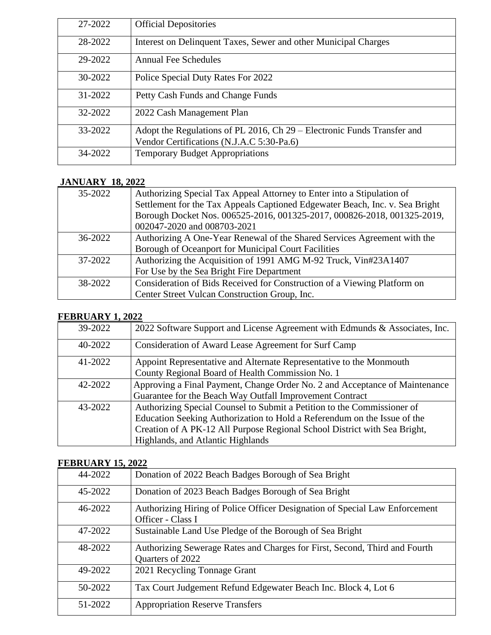| 27-2022 | <b>Official Depositories</b>                                                                                         |
|---------|----------------------------------------------------------------------------------------------------------------------|
| 28-2022 | Interest on Delinquent Taxes, Sewer and other Municipal Charges                                                      |
| 29-2022 | <b>Annual Fee Schedules</b>                                                                                          |
| 30-2022 | Police Special Duty Rates For 2022                                                                                   |
| 31-2022 | Petty Cash Funds and Change Funds                                                                                    |
| 32-2022 | 2022 Cash Management Plan                                                                                            |
| 33-2022 | Adopt the Regulations of PL 2016, Ch 29 – Electronic Funds Transfer and<br>Vendor Certifications (N.J.A.C 5:30-Pa.6) |
| 34-2022 | <b>Temporary Budget Appropriations</b>                                                                               |

## **JANUARY 18, 2022**

| 35-2022     | Authorizing Special Tax Appeal Attorney to Enter into a Stipulation of       |
|-------------|------------------------------------------------------------------------------|
|             | Settlement for the Tax Appeals Captioned Edgewater Beach, Inc. v. Sea Bright |
|             | Borough Docket Nos. 006525-2016, 001325-2017, 000826-2018, 001325-2019,      |
|             | 002047-2020 and 008703-2021                                                  |
| $36 - 2022$ | Authorizing A One-Year Renewal of the Shared Services Agreement with the     |
|             | Borough of Oceanport for Municipal Court Facilities                          |
| 37-2022     | Authorizing the Acquisition of 1991 AMG M-92 Truck, Vin#23A1407              |
|             | For Use by the Sea Bright Fire Department                                    |
| 38-2022     | Consideration of Bids Received for Construction of a Viewing Platform on     |
|             | Center Street Vulcan Construction Group, Inc.                                |

#### **FEBRUARY 1, 2022**

| 39-2022 | 2022 Software Support and License Agreement with Edmunds & Associates, Inc. |
|---------|-----------------------------------------------------------------------------|
| 40-2022 | Consideration of Award Lease Agreement for Surf Camp                        |
| 41-2022 | Appoint Representative and Alternate Representative to the Monmouth         |
|         | County Regional Board of Health Commission No. 1                            |
| 42-2022 | Approving a Final Payment, Change Order No. 2 and Acceptance of Maintenance |
|         | Guarantee for the Beach Way Outfall Improvement Contract                    |
| 43-2022 | Authorizing Special Counsel to Submit a Petition to the Commissioner of     |
|         | Education Seeking Authorization to Hold a Referendum on the Issue of the    |
|         | Creation of A PK-12 All Purpose Regional School District with Sea Bright,   |
|         | Highlands, and Atlantic Highlands                                           |

## **FEBRUARY 15, 2022**

| 44-2022 | Donation of 2022 Beach Badges Borough of Sea Bright                                              |
|---------|--------------------------------------------------------------------------------------------------|
| 45-2022 | Donation of 2023 Beach Badges Borough of Sea Bright                                              |
| 46-2022 | Authorizing Hiring of Police Officer Designation of Special Law Enforcement<br>Officer - Class I |
| 47-2022 | Sustainable Land Use Pledge of the Borough of Sea Bright                                         |
| 48-2022 | Authorizing Sewerage Rates and Charges for First, Second, Third and Fourth<br>Quarters of 2022   |
| 49-2022 | 2021 Recycling Tonnage Grant                                                                     |
| 50-2022 | Tax Court Judgement Refund Edgewater Beach Inc. Block 4, Lot 6                                   |
| 51-2022 | <b>Appropriation Reserve Transfers</b>                                                           |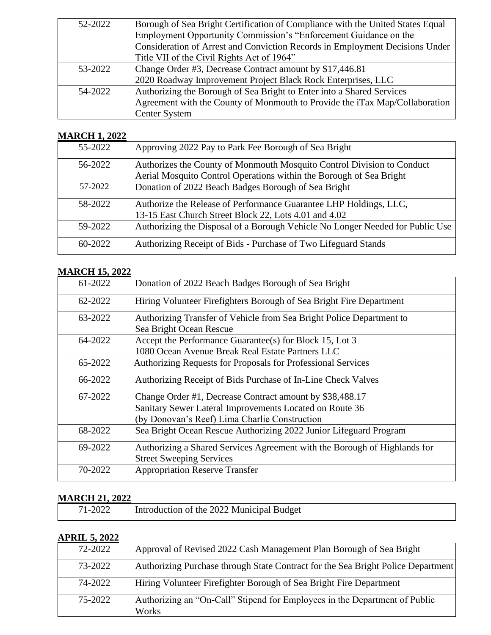| 52-2022 | Borough of Sea Bright Certification of Compliance with the United States Equal |
|---------|--------------------------------------------------------------------------------|
|         | Employment Opportunity Commission's "Enforcement Guidance on the               |
|         | Consideration of Arrest and Conviction Records in Employment Decisions Under   |
|         | Title VII of the Civil Rights Act of 1964"                                     |
| 53-2022 | Change Order #3, Decrease Contract amount by \$17,446.81                       |
|         | 2020 Roadway Improvement Project Black Rock Enterprises, LLC                   |
| 54-2022 | Authorizing the Borough of Sea Bright to Enter into a Shared Services          |
|         | Agreement with the County of Monmouth to Provide the iTax Map/Collaboration    |
|         | <b>Center System</b>                                                           |

## **MARCH 1, 2022**

| 55-2022 | Approving 2022 Pay to Park Fee Borough of Sea Bright                                                                                          |
|---------|-----------------------------------------------------------------------------------------------------------------------------------------------|
| 56-2022 | Authorizes the County of Monmouth Mosquito Control Division to Conduct<br>Aerial Mosquito Control Operations within the Borough of Sea Bright |
| 57-2022 | Donation of 2022 Beach Badges Borough of Sea Bright                                                                                           |
| 58-2022 | Authorize the Release of Performance Guarantee LHP Holdings, LLC,<br>13-15 East Church Street Block 22, Lots 4.01 and 4.02                    |
| 59-2022 | Authorizing the Disposal of a Borough Vehicle No Longer Needed for Public Use                                                                 |
| 60-2022 | Authorizing Receipt of Bids - Purchase of Two Lifeguard Stands                                                                                |

## **MARCH 15, 2022**

| 61-2022 | Donation of 2022 Beach Badges Borough of Sea Bright                       |
|---------|---------------------------------------------------------------------------|
| 62-2022 | Hiring Volunteer Firefighters Borough of Sea Bright Fire Department       |
| 63-2022 | Authorizing Transfer of Vehicle from Sea Bright Police Department to      |
|         | Sea Bright Ocean Rescue                                                   |
| 64-2022 | Accept the Performance Guarantee(s) for Block 15, Lot $3 -$               |
|         | 1080 Ocean Avenue Break Real Estate Partners LLC                          |
| 65-2022 | Authorizing Requests for Proposals for Professional Services              |
| 66-2022 | Authorizing Receipt of Bids Purchase of In-Line Check Valves              |
| 67-2022 | Change Order #1, Decrease Contract amount by \$38,488.17                  |
|         | Sanitary Sewer Lateral Improvements Located on Route 36                   |
|         | (by Donovan's Reef) Lima Charlie Construction                             |
| 68-2022 | Sea Bright Ocean Rescue Authorizing 2022 Junior Lifeguard Program         |
| 69-2022 | Authorizing a Shared Services Agreement with the Borough of Highlands for |
|         | <b>Street Sweeping Services</b>                                           |
| 70-2022 | <b>Appropriation Reserve Transfer</b>                                     |
|         |                                                                           |

## **MARCH 21, 2022**

| 71-2022 | Introduction of the 2022 Municipal Budget |
|---------|-------------------------------------------|

### **APRIL 5, 2022**

| $\frac{1}{111}$ . The set of $\frac{1}{111}$ |                                                                                     |
|----------------------------------------------|-------------------------------------------------------------------------------------|
| 72-2022                                      | Approval of Revised 2022 Cash Management Plan Borough of Sea Bright                 |
| 73-2022                                      | Authorizing Purchase through State Contract for the Sea Bright Police Department    |
| 74-2022                                      | Hiring Volunteer Firefighter Borough of Sea Bright Fire Department                  |
| 75-2022                                      | Authorizing an "On-Call" Stipend for Employees in the Department of Public<br>Works |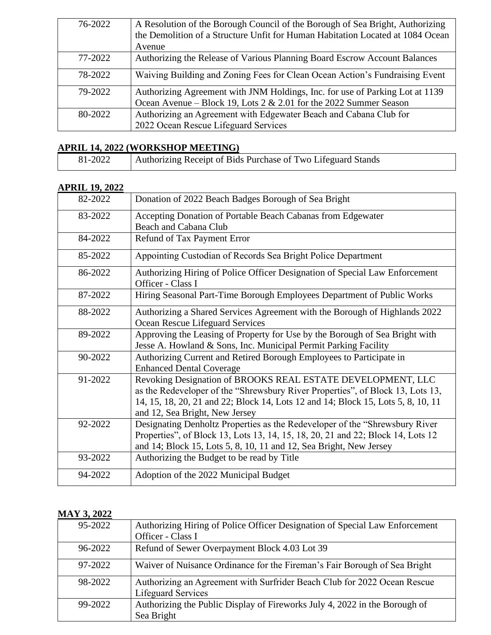| 76-2022 | A Resolution of the Borough Council of the Borough of Sea Bright, Authorizing  |
|---------|--------------------------------------------------------------------------------|
|         | the Demolition of a Structure Unfit for Human Habitation Located at 1084 Ocean |
|         | Avenue                                                                         |
| 77-2022 | Authorizing the Release of Various Planning Board Escrow Account Balances      |
| 78-2022 | Waiving Building and Zoning Fees for Clean Ocean Action's Fundraising Event    |
| 79-2022 | Authorizing Agreement with JNM Holdings, Inc. for use of Parking Lot at 1139   |
|         | Ocean Avenue – Block 19, Lots $2 \& 2.01$ for the 2022 Summer Season           |
| 80-2022 | Authorizing an Agreement with Edgewater Beach and Cabana Club for              |
|         | 2022 Ocean Rescue Lifeguard Services                                           |

## **APRIL 14, 2022 (WORKSHOP MEETING)**

| 81-2022 | Authorizing Receipt of Bids Purchase of Two Lifeguard Stands |
|---------|--------------------------------------------------------------|

## **APRIL 19, 2022**

| 82-2022 | Donation of 2022 Beach Badges Borough of Sea Bright                                                                                                                                                                                                                 |
|---------|---------------------------------------------------------------------------------------------------------------------------------------------------------------------------------------------------------------------------------------------------------------------|
| 83-2022 | Accepting Donation of Portable Beach Cabanas from Edgewater<br><b>Beach and Cabana Club</b>                                                                                                                                                                         |
| 84-2022 | Refund of Tax Payment Error                                                                                                                                                                                                                                         |
| 85-2022 | Appointing Custodian of Records Sea Bright Police Department                                                                                                                                                                                                        |
| 86-2022 | Authorizing Hiring of Police Officer Designation of Special Law Enforcement<br>Officer - Class I                                                                                                                                                                    |
| 87-2022 | Hiring Seasonal Part-Time Borough Employees Department of Public Works                                                                                                                                                                                              |
| 88-2022 | Authorizing a Shared Services Agreement with the Borough of Highlands 2022<br>Ocean Rescue Lifeguard Services                                                                                                                                                       |
| 89-2022 | Approving the Leasing of Property for Use by the Borough of Sea Bright with<br>Jesse A. Howland & Sons, Inc. Municipal Permit Parking Facility                                                                                                                      |
| 90-2022 | Authorizing Current and Retired Borough Employees to Participate in<br><b>Enhanced Dental Coverage</b>                                                                                                                                                              |
| 91-2022 | Revoking Designation of BROOKS REAL ESTATE DEVELOPMENT, LLC<br>as the Redeveloper of the "Shrewsbury River Properties", of Block 13, Lots 13,<br>14, 15, 18, 20, 21 and 22; Block 14, Lots 12 and 14; Block 15, Lots 5, 8, 10, 11<br>and 12, Sea Bright, New Jersey |
| 92-2022 | Designating Denholtz Properties as the Redeveloper of the "Shrewsbury River"<br>Properties", of Block 13, Lots 13, 14, 15, 18, 20, 21 and 22; Block 14, Lots 12<br>and 14; Block 15, Lots 5, 8, 10, 11 and 12, Sea Bright, New Jersey                               |
| 93-2022 | Authorizing the Budget to be read by Title                                                                                                                                                                                                                          |
| 94-2022 | Adoption of the 2022 Municipal Budget                                                                                                                                                                                                                               |

#### **MAY 3, 2022**

| 95-2022 | Authorizing Hiring of Police Officer Designation of Special Law Enforcement                    |
|---------|------------------------------------------------------------------------------------------------|
|         | Officer - Class I                                                                              |
| 96-2022 | Refund of Sewer Overpayment Block 4.03 Lot 39                                                  |
| 97-2022 | Waiver of Nuisance Ordinance for the Fireman's Fair Borough of Sea Bright                      |
| 98-2022 | Authorizing an Agreement with Surfrider Beach Club for 2022 Ocean Rescue<br>Lifeguard Services |
| 99-2022 | Authorizing the Public Display of Fireworks July 4, 2022 in the Borough of                     |
|         | Sea Bright                                                                                     |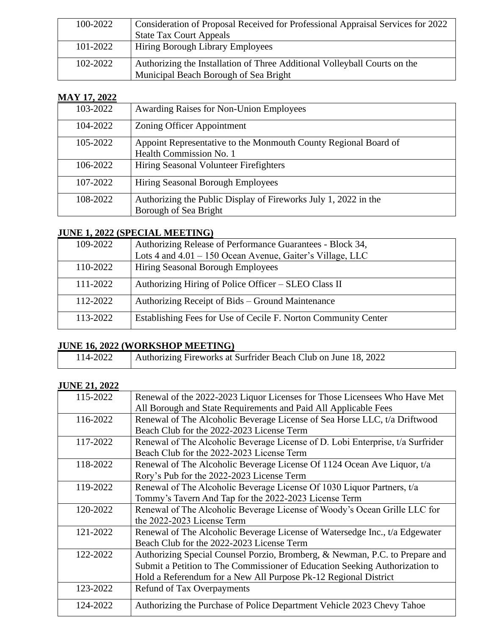| 100-2022 | Consideration of Proposal Received for Professional Appraisal Services for 2022 |
|----------|---------------------------------------------------------------------------------|
|          | <b>State Tax Court Appeals</b>                                                  |
| 101-2022 | <b>Hiring Borough Library Employees</b>                                         |
| 102-2022 | Authorizing the Installation of Three Additional Volleyball Courts on the       |
|          | Municipal Beach Borough of Sea Bright                                           |

#### **MAY 17, 2022**

| 103-2022 | <b>Awarding Raises for Non-Union Employees</b>                  |
|----------|-----------------------------------------------------------------|
| 104-2022 | Zoning Officer Appointment                                      |
| 105-2022 | Appoint Representative to the Monmouth County Regional Board of |
|          | Health Commission No. 1                                         |
| 106-2022 | Hiring Seasonal Volunteer Firefighters                          |
| 107-2022 | Hiring Seasonal Borough Employees                               |
| 108-2022 | Authorizing the Public Display of Fireworks July 1, 2022 in the |
|          | Borough of Sea Bright                                           |

### **JUNE 1, 2022 (SPECIAL MEETING)**

| 109-2022 | Authorizing Release of Performance Guarantees - Block 34,                                        |
|----------|--------------------------------------------------------------------------------------------------|
| 110-2022 | Lots 4 and $4.01 - 150$ Ocean Avenue, Gaiter's Village, LLC<br>Hiring Seasonal Borough Employees |
| 111-2022 | Authorizing Hiring of Police Officer – SLEO Class II                                             |
|          |                                                                                                  |
| 112-2022 | Authorizing Receipt of Bids – Ground Maintenance                                                 |
| 113-2022 | Establishing Fees for Use of Cecile F. Norton Community Center                                   |

## **JUNE 16, 2022 (WORKSHOP MEETING)**

| 114-2022 | Authorizing Fireworks at Surfrider Beach Club on June 18, 2022 |
|----------|----------------------------------------------------------------|
|          |                                                                |

# **JUNE 21, 2022**

| 115-2022 | Renewal of the 2022-2023 Liquor Licenses for Those Licensees Who Have Met      |
|----------|--------------------------------------------------------------------------------|
|          | All Borough and State Requirements and Paid All Applicable Fees                |
| 116-2022 | Renewal of The Alcoholic Beverage License of Sea Horse LLC, t/a Driftwood      |
|          | Beach Club for the 2022-2023 License Term                                      |
| 117-2022 | Renewal of The Alcoholic Beverage License of D. Lobi Enterprise, t/a Surfrider |
|          | Beach Club for the 2022-2023 License Term                                      |
| 118-2022 | Renewal of The Alcoholic Beverage License Of 1124 Ocean Ave Liquor, t/a        |
|          | Rory's Pub for the 2022-2023 License Term                                      |
| 119-2022 | Renewal of The Alcoholic Beverage License Of 1030 Liquor Partners, t/a         |
|          | Tommy's Tavern And Tap for the 2022-2023 License Term                          |
| 120-2022 | Renewal of The Alcoholic Beverage License of Woody's Ocean Grille LLC for      |
|          | the 2022-2023 License Term                                                     |
| 121-2022 | Renewal of The Alcoholic Beverage License of Watersedge Inc., t/a Edgewater    |
|          | Beach Club for the 2022-2023 License Term                                      |
| 122-2022 | Authorizing Special Counsel Porzio, Bromberg, & Newman, P.C. to Prepare and    |
|          | Submit a Petition to The Commissioner of Education Seeking Authorization to    |
|          | Hold a Referendum for a New All Purpose Pk-12 Regional District                |
| 123-2022 | Refund of Tax Overpayments                                                     |
| 124-2022 | Authorizing the Purchase of Police Department Vehicle 2023 Chevy Tahoe         |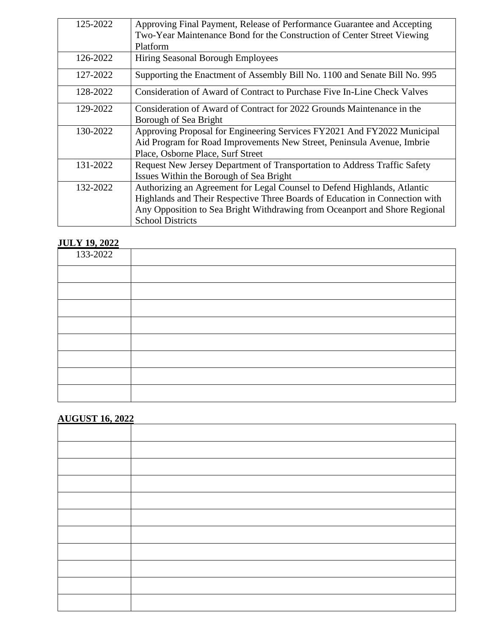| 125-2022 | Approving Final Payment, Release of Performance Guarantee and Accepting<br>Two-Year Maintenance Bond for the Construction of Center Street Viewing<br>Platform                                                                                                   |
|----------|------------------------------------------------------------------------------------------------------------------------------------------------------------------------------------------------------------------------------------------------------------------|
| 126-2022 | Hiring Seasonal Borough Employees                                                                                                                                                                                                                                |
| 127-2022 | Supporting the Enactment of Assembly Bill No. 1100 and Senate Bill No. 995                                                                                                                                                                                       |
| 128-2022 | Consideration of Award of Contract to Purchase Five In-Line Check Valves                                                                                                                                                                                         |
| 129-2022 | Consideration of Award of Contract for 2022 Grounds Maintenance in the<br>Borough of Sea Bright                                                                                                                                                                  |
| 130-2022 | Approving Proposal for Engineering Services FY2021 And FY2022 Municipal<br>Aid Program for Road Improvements New Street, Peninsula Avenue, Imbrie<br>Place, Osborne Place, Surf Street                                                                           |
| 131-2022 | Request New Jersey Department of Transportation to Address Traffic Safety<br>Issues Within the Borough of Sea Bright                                                                                                                                             |
| 132-2022 | Authorizing an Agreement for Legal Counsel to Defend Highlands, Atlantic<br>Highlands and Their Respective Three Boards of Education in Connection with<br>Any Opposition to Sea Bright Withdrawing from Oceanport and Shore Regional<br><b>School Districts</b> |

## **JULY 19, 2022**

| 133-2022 |  |
|----------|--|
|          |  |
|          |  |
|          |  |
|          |  |
|          |  |
|          |  |
|          |  |
|          |  |

# **AUGUST 16, 2022**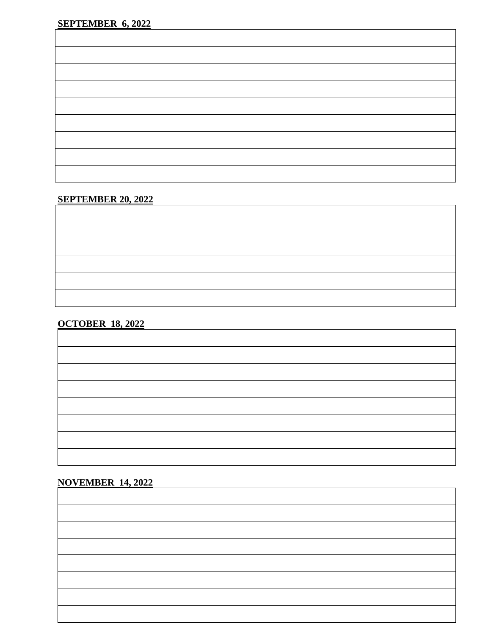#### **SEPTEMBER 20, 2022**

## **OCTOBER 18, 2022**

## **NOVEMBER 14, 2022**